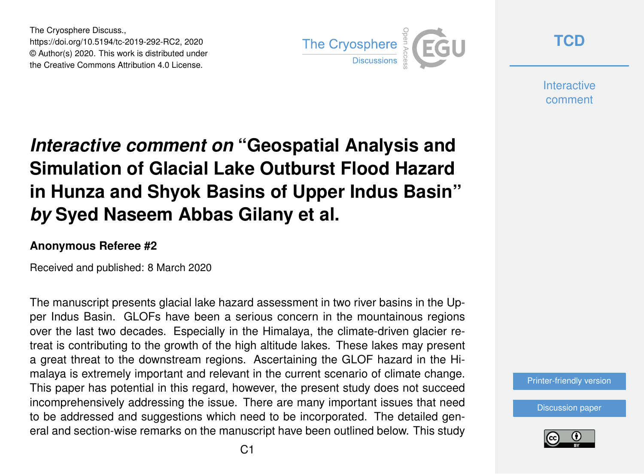The Cryosphere Discuss., https://doi.org/10.5194/tc-2019-292-RC2, 2020 © Author(s) 2020. This work is distributed under the Creative Commons Attribution 4.0 License.



**[TCD](https://www.the-cryosphere-discuss.net/)**

**Interactive** comment

# *Interactive comment on* **"Geospatial Analysis and Simulation of Glacial Lake Outburst Flood Hazard in Hunza and Shyok Basins of Upper Indus Basin"** *by* **Syed Naseem Abbas Gilany et al.**

#### **Anonymous Referee #2**

Received and published: 8 March 2020

The manuscript presents glacial lake hazard assessment in two river basins in the Upper Indus Basin. GLOFs have been a serious concern in the mountainous regions over the last two decades. Especially in the Himalaya, the climate-driven glacier retreat is contributing to the growth of the high altitude lakes. These lakes may present a great threat to the downstream regions. Ascertaining the GLOF hazard in the Himalaya is extremely important and relevant in the current scenario of climate change. This paper has potential in this regard, however, the present study does not succeed incomprehensively addressing the issue. There are many important issues that need to be addressed and suggestions which need to be incorporated. The detailed general and section-wise remarks on the manuscript have been outlined below. This study



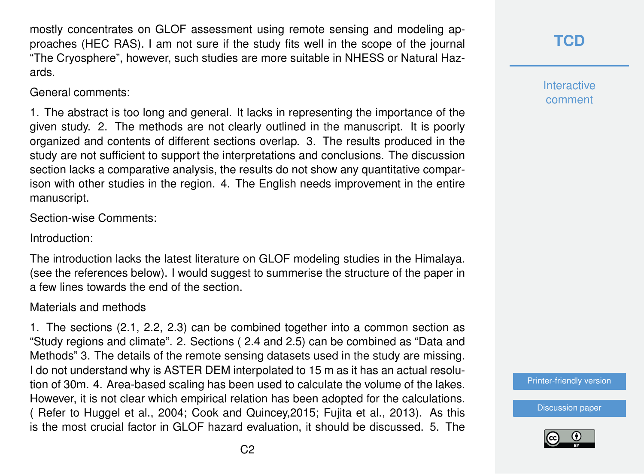mostly concentrates on GLOF assessment using remote sensing and modeling approaches (HEC RAS). I am not sure if the study fits well in the scope of the journal "The Cryosphere", however, such studies are more suitable in NHESS or Natural Hazards.

General comments:

1. The abstract is too long and general. It lacks in representing the importance of the given study. 2. The methods are not clearly outlined in the manuscript. It is poorly organized and contents of different sections overlap. 3. The results produced in the study are not sufficient to support the interpretations and conclusions. The discussion section lacks a comparative analysis, the results do not show any quantitative comparison with other studies in the region. 4. The English needs improvement in the entire manuscript.

Section-wise Comments:

Introduction:

The introduction lacks the latest literature on GLOF modeling studies in the Himalaya. (see the references below). I would suggest to summerise the structure of the paper in a few lines towards the end of the section.

#### Materials and methods

1. The sections (2.1, 2.2, 2.3) can be combined together into a common section as "Study regions and climate". 2. Sections ( 2.4 and 2.5) can be combined as "Data and Methods" 3. The details of the remote sensing datasets used in the study are missing. I do not understand why is ASTER DEM interpolated to 15 m as it has an actual resolution of 30m. 4. Area-based scaling has been used to calculate the volume of the lakes. However, it is not clear which empirical relation has been adopted for the calculations. ( Refer to Huggel et al., 2004; Cook and Quincey,2015; Fujita et al., 2013). As this is the most crucial factor in GLOF hazard evaluation, it should be discussed. 5. The **Interactive** comment

[Printer-friendly version](https://www.the-cryosphere-discuss.net/tc-2019-292/tc-2019-292-RC2-print.pdf)

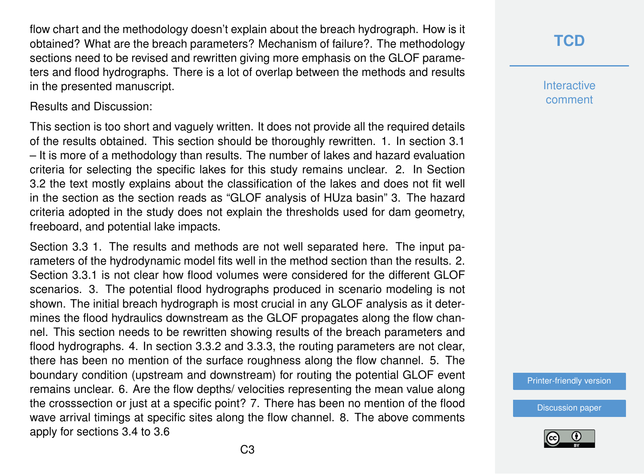flow chart and the methodology doesn't explain about the breach hydrograph. How is it obtained? What are the breach parameters? Mechanism of failure?. The methodology sections need to be revised and rewritten giving more emphasis on the GLOF parameters and flood hydrographs. There is a lot of overlap between the methods and results in the presented manuscript.

Results and Discussion:

This section is too short and vaguely written. It does not provide all the required details of the results obtained. This section should be thoroughly rewritten. 1. In section 3.1 – It is more of a methodology than results. The number of lakes and hazard evaluation criteria for selecting the specific lakes for this study remains unclear. 2. In Section 3.2 the text mostly explains about the classification of the lakes and does not fit well in the section as the section reads as "GLOF analysis of HUza basin" 3. The hazard criteria adopted in the study does not explain the thresholds used for dam geometry, freeboard, and potential lake impacts.

Section 3.3 1. The results and methods are not well separated here. The input parameters of the hydrodynamic model fits well in the method section than the results. 2. Section 3.3.1 is not clear how flood volumes were considered for the different GLOF scenarios. 3. The potential flood hydrographs produced in scenario modeling is not shown. The initial breach hydrograph is most crucial in any GLOF analysis as it determines the flood hydraulics downstream as the GLOF propagates along the flow channel. This section needs to be rewritten showing results of the breach parameters and flood hydrographs. 4. In section 3.3.2 and 3.3.3, the routing parameters are not clear, there has been no mention of the surface roughness along the flow channel. 5. The boundary condition (upstream and downstream) for routing the potential GLOF event remains unclear. 6. Are the flow depths/ velocities representing the mean value along the crosssection or just at a specific point? 7. There has been no mention of the flood wave arrival timings at specific sites along the flow channel. 8. The above comments apply for sections 3.4 to 3.6

**Interactive** comment

[Printer-friendly version](https://www.the-cryosphere-discuss.net/tc-2019-292/tc-2019-292-RC2-print.pdf)

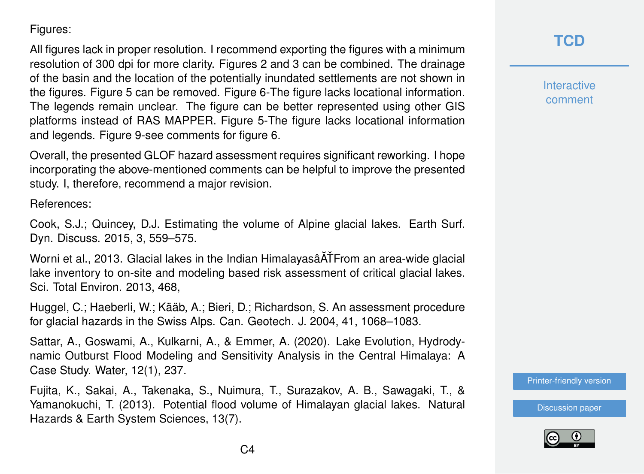#### Figures:

All figures lack in proper resolution. I recommend exporting the figures with a minimum resolution of 300 dpi for more clarity. Figures 2 and 3 can be combined. The drainage of the basin and the location of the potentially inundated settlements are not shown in the figures. Figure 5 can be removed. Figure 6-The figure lacks locational information. The legends remain unclear. The figure can be better represented using other GIS platforms instead of RAS MAPPER. Figure 5-The figure lacks locational information and legends. Figure 9-see comments for figure 6.

Overall, the presented GLOF hazard assessment requires significant reworking. I hope incorporating the above-mentioned comments can be helpful to improve the presented study. I, therefore, recommend a major revision.

References:

Cook, S.J.; Quincey, D.J. Estimating the volume of Alpine glacial lakes. Earth Surf. Dyn. Discuss. 2015, 3, 559–575.

Worni et al., 2013. Glacial lakes in the Indian Himalayasâ ATFrom an area-wide glacial lake inventory to on-site and modeling based risk assessment of critical glacial lakes. Sci. Total Environ. 2013, 468,

Huggel, C.; Haeberli, W.; Kääb, A.; Bieri, D.; Richardson, S. An assessment procedure for glacial hazards in the Swiss Alps. Can. Geotech. J. 2004, 41, 1068–1083.

Sattar, A., Goswami, A., Kulkarni, A., & Emmer, A. (2020). Lake Evolution, Hydrodynamic Outburst Flood Modeling and Sensitivity Analysis in the Central Himalaya: A Case Study. Water, 12(1), 237.

Fujita, K., Sakai, A., Takenaka, S., Nuimura, T., Surazakov, A. B., Sawagaki, T., & Yamanokuchi, T. (2013). Potential flood volume of Himalayan glacial lakes. Natural Hazards & Earth System Sciences, 13(7).

## **[TCD](https://www.the-cryosphere-discuss.net/)**

**Interactive** comment

[Printer-friendly version](https://www.the-cryosphere-discuss.net/tc-2019-292/tc-2019-292-RC2-print.pdf)